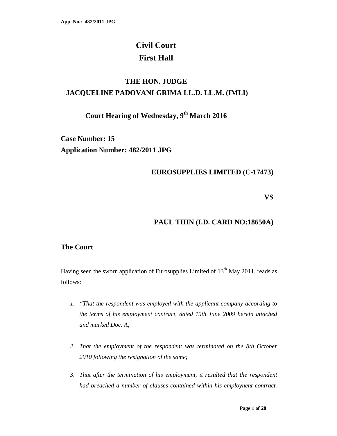# **Civil Court First Hall**

# **THE HON. JUDGE JACQUELINE PADOVANI GRIMA LL.D. LL.M. (IMLI)**

# **Court Hearing of Wednesday, 9th March 2016**

**Case Number: 15 Application Number: 482/2011 JPG**

## **EUROSUPPLIES LIMITED (C-17473)**

**VS** 

# **PAUL TIHN (I.D. CARD NO:18650A)**

### **The Court**

Having seen the sworn application of Eurosupplies Limited of  $13<sup>th</sup>$  May 2011, reads as follows:

- *1. "That the respondent was employed with the applicant company according to the terms of his employment contract, dated 15th June 2009 herein attached and marked Doc. A;*
- *2. That the employment of the respondent was terminated on the 8th October 2010 following the resignation of the same;*
- *3. That after the termination of his employment, it resulted that the respondent had breached a number of clauses contained within his employnent contract.*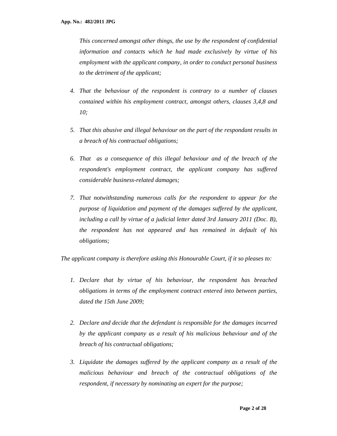*This concerned amongst other things, the use by the respondent of confidential information and contacts which he had made exclusively by virtue of his employment with the applicant company, in order to conduct personal business to the detriment of the applicant;* 

- *4. That the behaviour of the respondent is contrary to a number of clauses contained within his employment contract, amongst others, clauses 3,4,8 and 10;*
- *5. That this abusive and illegal behaviour on the part of the respondant results in a breach of his contractual obligations;*
- *6. That as a consequence of this illegal behaviour and of the breach of the respondent's employment contract, the applicant company has suffered considerable business-related damages;*
- *7. That notwithstanding numerous calls for the respondent to appear for the purpose of liquidation and payment of the damages suffered by the applicant, including a call by virtue of a judicial letter dated 3rd January 2011 (Doc. B), the respondent has not appeared and has remained in default of his obligations;*

*The applicant company is therefore asking this Honourable Court, if it so pleases to:* 

- *1. Declare that by virtue of his behaviour, the respondent has breached obligations in terms of the employment contract entered into between parties, dated the 15th June 2009;*
- *2. Declare and decide that the defendant is responsible for the damages incurred by the applicant company as a result of his malicious behaviour and of the breach of his contractual obligations;*
- *3. Liquidate the damages suffered by the applicant company as a result of the malicious behaviour and breach of the contractual obligations of the respondent, if necessary by nominating an expert for the purpose;*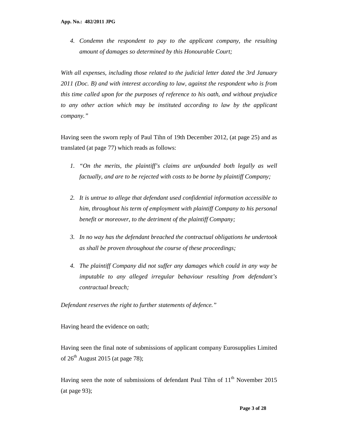*4. Condemn the respondent to pay to the applicant company, the resulting amount of damages so determined by this Honourable Court;* 

*With all expenses, including those related to the judicial letter dated the 3rd January 2011 (Doc. B) and with interest according to law, against the respondent who is from this time called upon for the purposes of reference to his oath, and without prejudice to any other action which may be instituted according to law by the applicant company."*

Having seen the sworn reply of Paul Tihn of 19th December 2012, (at page 25) and as translated (at page 77) which reads as follows:

- *1. "On the merits, the plaintiff's claims are unfounded both legally as well factually, and are to be rejected with costs to be borne by plaintiff Company;*
- *2. It is untrue to allege that defendant used confidential information accessible to him, throughout his term of employment with plaintiff Company to his personal benefit or moreover, to the detriment of the plaintiff Company;*
- *3. In no way has the defendant breached the contractual obligations he undertook as shall be proven throughout the course of these proceedings;*
- *4. The plaintiff Company did not suffer any damages which could in any way be imputable to any alleged irregular behaviour resulting from defendant's contractual breach;*

*Defendant reserves the right to further statements of defence."* 

Having heard the evidence on oath;

Having seen the final note of submissions of applicant company Eurosupplies Limited of  $26<sup>th</sup>$  August 2015 (at page 78);

Having seen the note of submissions of defendant Paul Tihn of  $11<sup>th</sup>$  November 2015 (at page 93);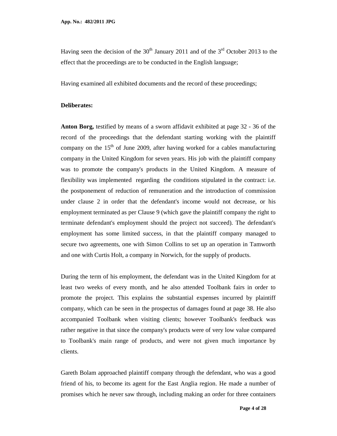Having seen the decision of the  $30<sup>th</sup>$  January 2011 and of the  $3<sup>rd</sup>$  October 2013 to the effect that the proceedings are to be conducted in the English language;

Having examined all exhibited documents and the record of these proceedings;

#### **Deliberates:**

**Anton Borg,** testified by means of a sworn affidavit exhibited at page 32 - 36 of the record of the proceedings that the defendant starting working with the plaintiff company on the  $15<sup>th</sup>$  of June 2009, after having worked for a cables manufacturing company in the United Kingdom for seven years. His job with the plaintiff company was to promote the company's products in the United Kingdom. A measure of flexibility was implemented regarding the conditions stipulated in the contract: i.e. the postponement of reduction of remuneration and the introduction of commission under clause 2 in order that the defendant's income would not decrease, or his employment terminated as per Clause 9 (which gave the plaintiff company the right to terminate defendant's employment should the project not succeed). The defendant's employment has some limited success, in that the plaintiff company managed to secure two agreements, one with Simon Collins to set up an operation in Tamworth and one with Curtis Holt, a company in Norwich, for the supply of products.

During the term of his employment, the defendant was in the United Kingdom for at least two weeks of every month, and he also attended Toolbank fairs in order to promote the project. This explains the substantial expenses incurred by plaintiff company, which can be seen in the prospectus of damages found at page 38. He also accompanied Toolbank when visiting clients; however Toolbank's feedback was rather negative in that since the company's products were of very low value compared to Toolbank's main range of products, and were not given much importance by clients.

Gareth Bolam approached plaintiff company through the defendant, who was a good friend of his, to become its agent for the East Anglia region. He made a number of promises which he never saw through, including making an order for three containers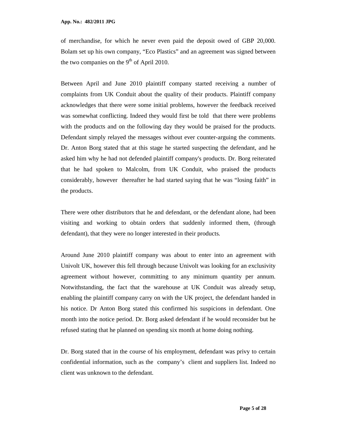of merchandise, for which he never even paid the deposit owed of GBP 20,000. Bolam set up his own company, "Eco Plastics" and an agreement was signed between the two companies on the  $9<sup>th</sup>$  of April 2010.

Between April and June 2010 plaintiff company started receiving a number of complaints from UK Conduit about the quality of their products. Plaintiff company acknowledges that there were some initial problems, however the feedback received was somewhat conflicting. Indeed they would first be told that there were problems with the products and on the following day they would be praised for the products. Defendant simply relayed the messages without ever counter-arguing the comments. Dr. Anton Borg stated that at this stage he started suspecting the defendant, and he asked him why he had not defended plaintiff company's products. Dr. Borg reiterated that he had spoken to Malcolm, from UK Conduit, who praised the products considerably, however thereafter he had started saying that he was "losing faith" in the products.

There were other distributors that he and defendant, or the defendant alone, had been visiting and working to obtain orders that suddenly informed them, (through defendant), that they were no longer interested in their products.

Around June 2010 plaintiff company was about to enter into an agreement with Univolt UK, however this fell through because Univolt was looking for an exclusivity agreement without however, committing to any minimum quantity per annum. Notwithstanding, the fact that the warehouse at UK Conduit was already setup, enabling the plaintiff company carry on with the UK project, the defendant handed in his notice. Dr Anton Borg stated this confirmed his suspicions in defendant. One month into the notice period. Dr. Borg asked defendant if he would reconsider but he refused stating that he planned on spending six month at home doing nothing.

Dr. Borg stated that in the course of his employment, defendant was privy to certain confidential information, such as the company's client and suppliers list. Indeed no client was unknown to the defendant.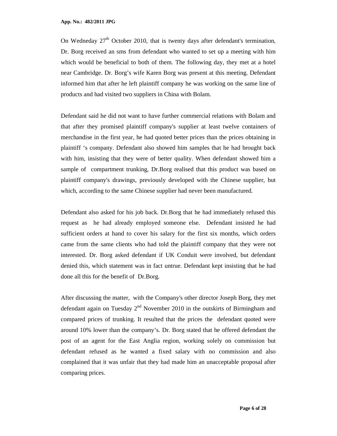On Wedneday 27<sup>th</sup> October 2010, that is twenty days after defendant's termination, Dr. Borg received an sms from defendant who wanted to set up a meeting with him which would be beneficial to both of them. The following day, they met at a hotel near Cambridge. Dr. Borg's wife Karen Borg was present at this meeting. Defendant informed him that after he left plaintiff company he was working on the same line of products and had visited two suppliers in China with Bolam.

Defendant said he did not want to have further commercial relations with Bolam and that after they promised plaintiff company's supplier at least twelve containers of merchandise in the first year, he had quoted better prices than the prices obtaining in plaintiff 's company. Defendant also showed him samples that he had brought back with him, insisting that they were of better quality. When defendant showed him a sample of compartment trunking, Dr.Borg realised that this product was based on plaintiff company's drawings, previously developed with the Chinese supplier, but which, according to the same Chinese supplier had never been manufactured.

Defendant also asked for his job back. Dr.Borg that he had immediately refused this request as he had already employed someone else. Defendant insisted he had sufficient orders at hand to cover his salary for the first six months, which orders came from the same clients who had told the plaintiff company that they were not interested. Dr. Borg asked defendant if UK Conduit were involved, but defendant denied this, which statement was in fact untrue. Defendant kept insisting that he had done all this for the benefit of Dr.Borg.

After discussing the matter, with the Company's other director Joseph Borg, they met defendant again on Tuesday  $2<sup>nd</sup>$  November 2010 in the outskirts of Birmingham and compared prices of trunking. It resulted that the prices the defendant quoted were around 10% lower than the company's. Dr. Borg stated that he offered defendant the post of an agent for the East Anglia region, working solely on commission but defendant refused as he wanted a fixed salary with no commission and also complained that it was unfair that they had made him an unacceptable proposal after comparing prices.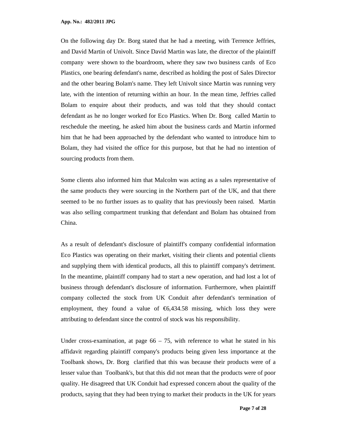On the following day Dr. Borg stated that he had a meeting, with Terrence Jeffries, and David Martin of Univolt. Since David Martin was late, the director of the plaintiff company were shown to the boardroom, where they saw two business cards of Eco Plastics, one bearing defendant's name, described as holding the post of Sales Director and the other bearing Bolam's name. They left Univolt since Martin was running very late, with the intention of returning within an hour. In the mean time, Jeffries called Bolam to enquire about their products, and was told that they should contact defendant as he no longer worked for Eco Plastics. When Dr. Borg called Martin to reschedule the meeting, he asked him about the business cards and Martin informed him that he had been approached by the defendant who wanted to introduce him to Bolam, they had visited the office for this purpose, but that he had no intention of sourcing products from them.

Some clients also informed him that Malcolm was acting as a sales representative of the same products they were sourcing in the Northern part of the UK, and that there seemed to be no further issues as to quality that has previously been raised. Martin was also selling compartment trunking that defendant and Bolam has obtained from China.

As a result of defendant's disclosure of plaintiff's company confidential information Eco Plastics was operating on their market, visiting their clients and potential clients and supplying them with identical products, all this to plaintiff company's detriment. In the meantime, plaintiff company had to start a new operation, and had lost a lot of business through defendant's disclosure of information. Furthermore, when plaintiff company collected the stock from UK Conduit after defendant's termination of employment, they found a value of  $\epsilon$ 6,434.58 missing which loss they were attributing to defendant since the control of stock was his responsibility.

Under cross-examination, at page  $66 - 75$ , with reference to what he stated in his affidavit regarding plaintiff company's products being given less importance at the Toolbank shows, Dr. Borg clarified that this was because their products were of a lesser value than Toolbank's, but that this did not mean that the products were of poor quality. He disagreed that UK Conduit had expressed concern about the quality of the products, saying that they had been trying to market their products in the UK for years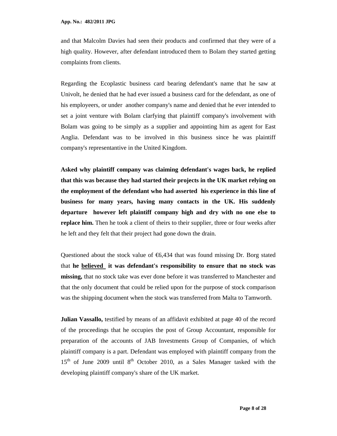and that Malcolm Davies had seen their products and confirmed that they were of a high quality. However, after defendant introduced them to Bolam they started getting complaints from clients.

Regarding the Ecoplastic business card bearing defendant's name that he saw at Univolt, he denied that he had ever issued a business card for the defendant, as one of his employeers, or under another company's name and denied that he ever intended to set a joint venture with Bolam clarfying that plaintiff company's involvement with Bolam was going to be simply as a supplier and appointing him as agent for East Anglia. Defendant was to be involved in this business since he was plaintiff company's representantive in the United Kingdom.

**Asked why plaintiff company was claiming defendant's wages back, he replied that this was because they had started their projects in the UK market relying on the employment of the defendant who had asserted his experience in this line of business for many years, having many contacts in the UK. His suddenly departure however left plaintiff company high and dry with no one else to replace him.** Then he took a client of theirs to their supplier, three or four weeks after he left and they felt that their project had gone down the drain.

Questioned about the stock value of  $\epsilon$ 6,434 that was found missing Dr. Borg stated that **he believed it was defendant's responsibility to ensure that no stock was missing,** that no stock take was ever done before it was transferred to Manchester and that the only document that could be relied upon for the purpose of stock comparison was the shipping document when the stock was transferred from Malta to Tamworth.

**Julian Vassallo,** testified by means of an affidavit exhibited at page 40 of the record of the proceedings that he occupies the post of Group Accountant, responsible for preparation of the accounts of JAB Investments Group of Companies, of which plaintiff company is a part. Defendant was employed with plaintiff company from the  $15<sup>th</sup>$  of June 2009 until  $8<sup>th</sup>$  October 2010, as a Sales Manager tasked with the developing plaintiff company's share of the UK market.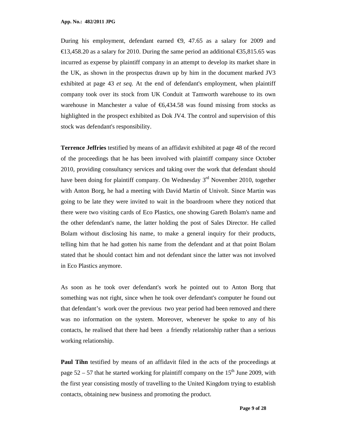During his employment, defendant earned  $\epsilon$ 9, 47.65 as a salary for 2009 and €13,458.20 as a salary for 2010. During the same period an additional €35,815.65 was incurred as expense by plaintiff company in an attempt to develop its market share in the UK, as shown in the prospectus drawn up by him in the document marked JV3 exhibited at page 43 *et seq*. At the end of defendant's employment, when plaintiff company took over its stock from UK Conduit at Tamworth warehouse to its own warehouse in Manchester a value of  $\epsilon$ 6,434.58 was found missing from stocks as highlighted in the prospect exhibited as Dok JV4. The control and supervision of this stock was defendant's responsibility.

**Terrence Jeffries** testified by means of an affidavit exhibited at page 48 of the record of the proceedings that he has been involved with plaintiff company since October 2010, providing consultancy services and taking over the work that defendant should have been doing for plaintiff company. On Wednesday  $3<sup>rd</sup>$  November 2010, together with Anton Borg, he had a meeting with David Martin of Univolt. Since Martin was going to be late they were invited to wait in the boardroom where they noticed that there were two visiting cards of Eco Plastics, one showing Gareth Bolam's name and the other defendant's name, the latter holding the post of Sales Director. He called Bolam without disclosing his name, to make a general inquiry for their products, telling him that he had gotten his name from the defendant and at that point Bolam stated that he should contact him and not defendant since the latter was not involved in Eco Plastics anymore.

As soon as he took over defendant's work he pointed out to Anton Borg that something was not right, since when he took over defendant's computer he found out that defendant's work over the previous two year period had been removed and there was no information on the system. Moreover, whenever he spoke to any of his contacts, he realised that there had been a friendly relationship rather than a serious working relationship.

**Paul Tihn** testified by means of an affidavit filed in the acts of the proceedings at page  $52 - 57$  that he started working for plaintiff company on the 15<sup>th</sup> June 2009, with the first year consisting mostly of travelling to the United Kingdom trying to establish contacts, obtaining new business and promoting the product.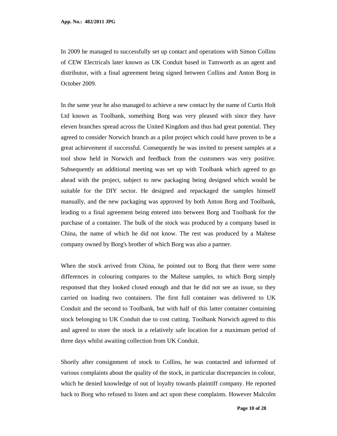In 2009 he managed to successfully set up contact and operations with Simon Collins of CEW Electricals later known as UK Conduit based in Tamworth as an agent and distributor, with a final agreement being signed between Collins and Anton Borg in October 2009.

In the same year he also managed to achieve a new contact by the name of Curtis Holt Ltd known as Toolbank, something Borg was very pleased with since they have eleven branches spread across the United Kingdom and thus had great potential. They agreed to consider Norwich branch as a pilot project which could have proven to be a great achievement if successful. Consequently he was invited to present samples at a tool show held in Norwich and feedback from the customers was very positive. Subsequently an additional meeting was set up with Toolbank which agreed to go ahead with the project, subject to new packaging being designed which would be suitable for the DIY sector. He designed and repackaged the samples himself manually, and the new packaging was approved by both Anton Borg and Toolbank, leading to a final agreement being entered into between Borg and Toolbank for the purchase of a container. The bulk of the stock was produced by a company based in China, the name of which he did not know. The rest was produced by a Maltese company owned by Borg's brother of which Borg was also a partner.

When the stock arrived from China, he pointed out to Borg that there were some differences in colouring compares to the Maltese samples, to which Borg simply responsed that they looked closed enough and that he did not see an issue, so they carried on loading two containers. The first full container was delivered to UK Conduit and the second to Toolbank, but with half of this latter container containing stock belonging to UK Conduit due to cost cutting. Toolbank Norwich agreed to this and agreed to store the stock in a relatively safe location for a maximum period of three days whilst awaiting collection from UK Conduit.

Shortly after consignment of stock to Collins, he was contacted and informed of various complaints about the quality of the stock, in particular discrepancies in colour, which he denied knowledge of out of loyalty towards plaintiff company. He reported back to Borg who refused to listen and act upon these complaints. However Malcolm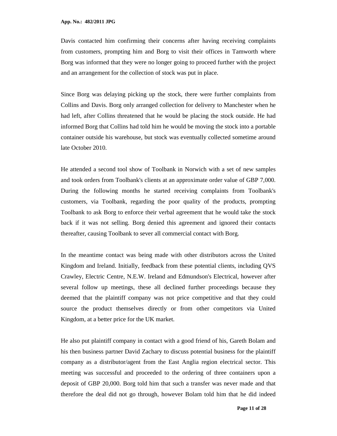Davis contacted him confirming their concerns after having receiving complaints from customers, prompting him and Borg to visit their offices in Tamworth where Borg was informed that they were no longer going to proceed further with the project and an arrangement for the collection of stock was put in place.

Since Borg was delaying picking up the stock, there were further complaints from Collins and Davis. Borg only arranged collection for delivery to Manchester when he had left, after Collins threatened that he would be placing the stock outside. He had informed Borg that Collins had told him he would be moving the stock into a portable container outside his warehouse, but stock was eventually collected sometime around late October 2010.

He attended a second tool show of Toolbank in Norwich with a set of new samples and took orders from Toolbank's clients at an approximate order value of GBP 7,000. During the following months he started receiving complaints from Toolbank's customers, via Toolbank, regarding the poor quality of the products, prompting Toolbank to ask Borg to enforce their verbal agreement that he would take the stock back if it was not selling. Borg denied this agreement and ignored their contacts thereafter, causing Toolbank to sever all commercial contact with Borg.

In the meantime contact was being made with other distributors across the United Kingdom and Ireland. Initially, feedback from these potential clients, including QVS Crawley, Electric Centre, N.E.W. Ireland and Edmundson's Electrical, however after several follow up meetings, these all declined further proceedings because they deemed that the plaintiff company was not price competitive and that they could source the product themselves directly or from other competitors via United Kingdom, at a better price for the UK market.

He also put plaintiff company in contact with a good friend of his, Gareth Bolam and his then business partner David Zachary to discuss potential business for the plaintiff company as a distributor/agent from the East Anglia region electrical sector. This meeting was successful and proceeded to the ordering of three containers upon a deposit of GBP 20,000. Borg told him that such a transfer was never made and that therefore the deal did not go through, however Bolam told him that he did indeed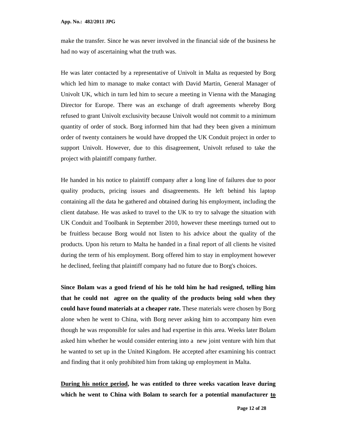make the transfer. Since he was never involved in the financial side of the business he had no way of ascertaining what the truth was.

He was later contacted by a representative of Univolt in Malta as requested by Borg which led him to manage to make contact with David Martin, General Manager of Univolt UK, which in turn led him to secure a meeting in Vienna with the Managing Director for Europe. There was an exchange of draft agreements whereby Borg refused to grant Univolt exclusivity because Univolt would not commit to a minimum quantity of order of stock. Borg informed him that had they been given a minimum order of twenty containers he would have dropped the UK Conduit project in order to support Univolt. However, due to this disagreement, Univolt refused to take the project with plaintiff company further.

He handed in his notice to plaintiff company after a long line of failures due to poor quality products, pricing issues and disagreements. He left behind his laptop containing all the data he gathered and obtained during his employment, including the client database. He was asked to travel to the UK to try to salvage the situation with UK Conduit and Toolbank in September 2010, however these meetings turned out to be fruitless because Borg would not listen to his advice about the quality of the products. Upon his return to Malta he handed in a final report of all clients he visited during the term of his employment. Borg offered him to stay in employment however he declined, feeling that plaintiff company had no future due to Borg's choices.

**Since Bolam was a good friend of his he told him he had resigned, telling him that he could not agree on the quality of the products being sold when they could have found materials at a cheaper rate.** These materials were chosen by Borg alone when he went to China, with Borg never asking him to accompany him even though he was responsible for sales and had expertise in this area. Weeks later Bolam asked him whether he would consider entering into a new joint venture with him that he wanted to set up in the United Kingdom. He accepted after examining his contract and finding that it only prohibited him from taking up employment in Malta.

**During his notice period, he was entitled to three weeks vacation leave during which he went to China with Bolam to search for a potential manufacturer to**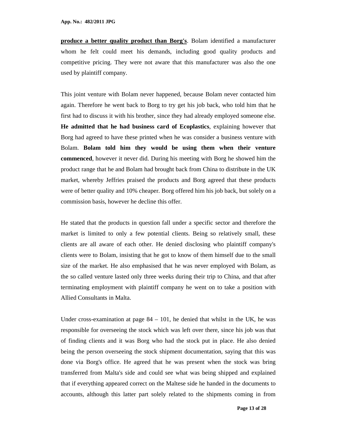**produce a better quality product than Borg's**. Bolam identified a manufacturer whom he felt could meet his demands, including good quality products and competitive pricing. They were not aware that this manufacturer was also the one used by plaintiff company.

This joint venture with Bolam never happened, because Bolam never contacted him again. Therefore he went back to Borg to try get his job back, who told him that he first had to discuss it with his brother, since they had already employed someone else. **He admitted that he had business card of Ecoplastics**, explaining however that Borg had agreed to have these printed when he was consider a business venture with Bolam. **Bolam told him they would be using them when their venture commenced**, however it never did. During his meeting with Borg he showed him the product range that he and Bolam had brought back from China to distribute in the UK market, whereby Jeffries praised the products and Borg agreed that these products were of better quality and 10% cheaper. Borg offered him his job back, but solely on a commission basis, however he decline this offer.

He stated that the products in question fall under a specific sector and therefore the market is limited to only a few potential clients. Being so relatively small, these clients are all aware of each other. He denied disclosing who plaintiff company's clients were to Bolam, insisting that he got to know of them himself due to the small size of the market. He also emphasised that he was never employed with Bolam, as the so called venture lasted only three weeks during their trip to China, and that after terminating employment with plaintiff company he went on to take a position with Allied Consultants in Malta.

Under cross-examination at page  $84 - 101$ , he denied that whilst in the UK, he was responsible for overseeing the stock which was left over there, since his job was that of finding clients and it was Borg who had the stock put in place. He also denied being the person overseeing the stock shipment documentation, saying that this was done via Borg's office. He agreed that he was present when the stock was bring transferred from Malta's side and could see what was being shipped and explained that if everything appeared correct on the Maltese side he handed in the documents to accounts, although this latter part solely related to the shipments coming in from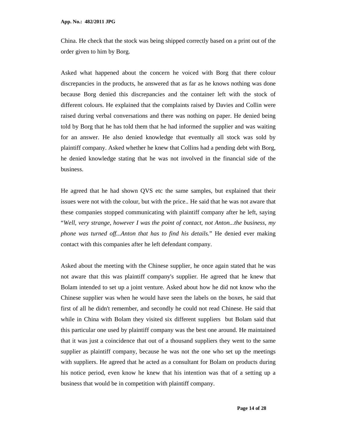China. He check that the stock was being shipped correctly based on a print out of the order given to him by Borg.

Asked what happened about the concern he voiced with Borg that there colour discrepancies in the products, he answered that as far as he knows nothing was done because Borg denied this discrepancies and the container left with the stock of different colours. He explained that the complaints raised by Davies and Collin were raised during verbal conversations and there was nothing on paper. He denied being told by Borg that he has told them that he had informed the supplier and was waiting for an answer. He also denied knowledge that eventually all stock was sold by plaintiff company. Asked whether he knew that Collins had a pending debt with Borg, he denied knowledge stating that he was not involved in the financial side of the business.

He agreed that he had shown QVS etc the same samples, but explained that their issues were not with the colour, but with the price.. He said that he was not aware that these companies stopped communicating with plaintiff company after he left, saying "*Well, very strange, however I was the point of contact, not Anton...the business, my phone was turned off...Anton that has to find his details.*" He denied ever making contact with this companies after he left defendant company.

Asked about the meeting with the Chinese supplier, he once again stated that he was not aware that this was plaintiff company's supplier. He agreed that he knew that Bolam intended to set up a joint venture. Asked about how he did not know who the Chinese supplier was when he would have seen the labels on the boxes, he said that first of all he didn't remember, and secondly he could not read Chinese. He said that while in China with Bolam they visited six different suppliers but Bolam said that this particular one used by plaintiff company was the best one around. He maintained that it was just a coincidence that out of a thousand suppliers they went to the same supplier as plaintiff company, because he was not the one who set up the meetings with suppliers. He agreed that he acted as a consultant for Bolam on products during his notice period, even know he knew that his intention was that of a setting up a business that would be in competition with plaintiff company.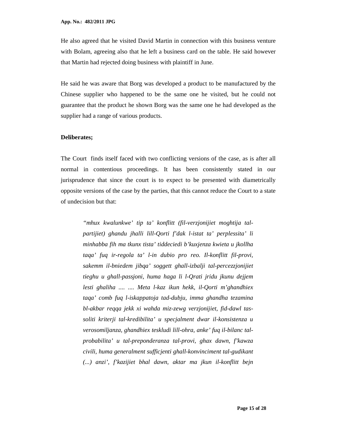He also agreed that he visited David Martin in connection with this business venture with Bolam, agreeing also that he left a business card on the table. He said however that Martin had rejected doing business with plaintiff in June.

He said he was aware that Borg was developed a product to be manufactured by the Chinese supplier who happened to be the same one he visited, but he could not guarantee that the product he shown Borg was the same one he had developed as the supplier had a range of various products.

#### **Deliberates;**

The Court finds itself faced with two conflicting versions of the case, as is after all normal in contentious proceedings. It has been consistently stated in our jurisprudence that since the court is to expect to be presented with diametrically opposite versions of the case by the parties, that this cannot reduce the Court to a state of undecision but that:

*"mhux kwalunkwe' tip ta' konflitt (fil-verzjonijiet moghtija talpartijiet) ghandu jhalli lill-Qorti f'dak l-istat ta' perplessita' li minhabba fih ma tkunx tista' tiddeciedi b'kuxjenza kwieta u jkollha taqa' fuq ir-regola ta' l-in dubio pro reo. Il-konflitt fil-provi, sakemm il-bniedem jibqa' soggett ghall-izbalji tal-percezzjonijiet tieghu u ghall-passjoni, huma haga li l-Qrati jridu jkunu dejjem lesti ghaliha .... .... Meta l-kaz ikun hekk, il-Qorti m'ghandhiex taqa' comb fuq l-iskappatoja tad-dubju, imma ghandha tezamina bl-akbar reqqa jekk xi wahda miz-zewg verzjonijiet, fid-dawl tassoliti kriterji tal-kredibilita' u specjalment dwar il-konsistenza u verosomiljanza, ghandhiex teskludi lill-ohra, anke' fuq il-bilanc talprobabilita' u tal-preponderanza tal-provi, ghax dawn, f'kawza civili, huma generalment sufficjenti ghall-konvinciment tal-gudikant (...) anzi', f'kazijiet bhal dawn, aktar ma jkun il-konflitt bejn*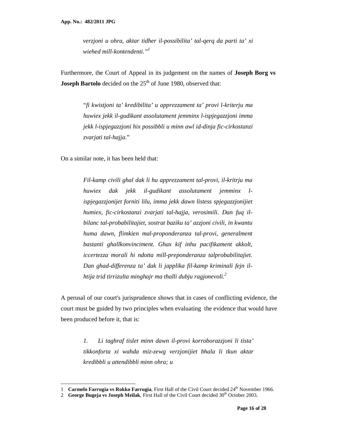*verzjoni u ohra, aktar tidher il-possibilita' tal-qerq da parti ta' xi wiehed mill-kontendenti."<sup>1</sup>*

Furthermore, the Court of Appeal in its judgement on the names of **Joseph Borg vs Joseph Bartolo** decided on the 25<sup>th</sup> of June 1980, observed that:

> "*fi kwistjoni ta' kredibilita' u apprezzament ta' provi l-kriterju ma huwiex jekk il-gudikant assolutament jemminx l-ispjegazzjoni imma jekk l-ispjegazzjoni hix possibbli u minn awl id-dinja fic-cirkostanzi zvarjati tal-hajja*."

On a similar note, it has been held that:

<u>.</u>

*Fil-kamp civili ghal dak li hu apprezzament tal-provi, il-kritrju ma huwiex dak jekk il-gudikant assolutament jemminx lispjegazzjonijet forniti lilu, imma jekk dawn listess spjegazzjonijiet humiex, fic-cirkostanzi zvarjati tal-hajja, verosimili. Dan fuq ilbilanc tal-probabilitajiet, sostrat baziku ta' azzjoni civili, in kwantu huma dawn, flimkien mal-proponderanza tal-provi, generalment bastanti ghallkonvinciment. Ghax kif inhu pacifikament akkolt, iccertezza morali hi ndotta mill-preponderanza talprobabilitajiet. Dan ghad-differenza ta' dak li japplika fil-kamp kriminali fejn ilhtija trid tirrizulta minghajr ma thalli dubju ragjonevoli.<sup>2</sup>* 

A perusal of our court's jurisprudence shows that in cases of conflicting evidence, the court must be guided by two principles when evaluating the evidence that would have been produced before it, that is:

> *1. Li taghraf tislet minn dawn il-provi korroborazzjoni li tista' tikkonforta xi wahda miz-zewg verzjonijiet bhala li tkun aktar kredibbli u attendibbli minn ohra; u*

<sup>1</sup> **Carmelo Farrugia vs Rokko Farrugia**, First Hall of the Civil Court decided 24<sup>th</sup> November 1966.

<sup>2</sup> George Bugeja vs Joseph Meilak, First Hall of the Civil Court decided 30<sup>th</sup> October 2003.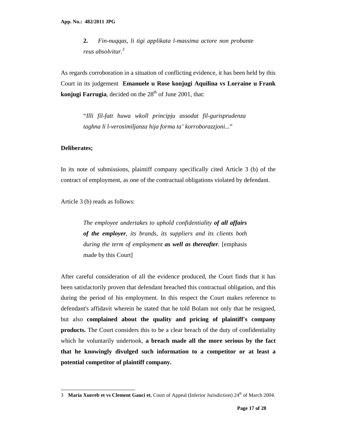**2.** *Fin-nuqqas, li tigi applikata l-massima actore non probante reus absolvitur.<sup>3</sup>*

As regards corroboration in a situation of conflicting evidence, it has been held by this Court in its judgement **Emanuele u Rose konjugi Aquilina vs Lorraine u Frank konjugi Farrugia**, decided on the  $28<sup>th</sup>$  of June 2001, that:

> "*Illi fil-fatt huwa wkoll principju assodat fil-gurisprudenza taghna li l-verosimiljanza hija forma ta' korroborazzjoni...*"

#### **Deliberates;**

1

In its note of submissions, plaintiff company specifically cited Article 3 (b) of the contract of employment, as one of the contractual obligations violated by defendant.

Article 3 (b) reads as follows:

*The employee undertakes to uphold confidentiality of all affairs of the employer, its brands, its suppliers and its clients both during the term of employment as well as thereafter.* [emphasis made by this Court]

After careful consideration of all the evidence produced, the Court finds that it has been satisfactorily proven that defendant breached this contractual obligation, and this during the period of his employment. In this respect the Court makes reference to defendant's affidavit wherein he stated that he told Bolam not only that he resigned, but also **complained about the quality and pricing of plaintiff's company products.** The Court considers this to be a clear breach of the duty of confidentiality which he voluntarily undertook, **a breach made all the more serious by the fact that he knowingly divulged such information to a competitor or at least a potential competitor of plaintiff company.**

<sup>3</sup> **Maria Xuereb et vs Clement Gauci et**, Court of Appeal (Inferior Jurisdiction) 24<sup>th</sup> of March 2004.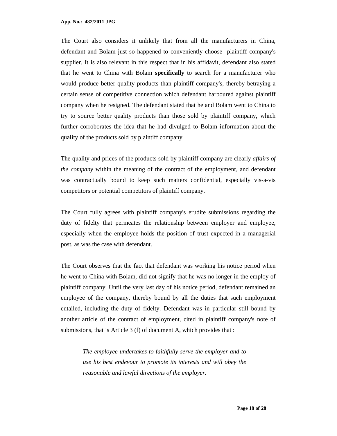**App. No.: 482/2011 JPG**

The Court also considers it unlikely that from all the manufacturers in China, defendant and Bolam just so happened to conveniently choose plaintiff company's supplier. It is also relevant in this respect that in his affidavit, defendant also stated that he went to China with Bolam **specifically** to search for a manufacturer who would produce better quality products than plaintiff company's, thereby betraying a certain sense of competitive connection which defendant harboured against plaintiff company when he resigned. The defendant stated that he and Bolam went to China to try to source better quality products than those sold by plaintiff company, which further corroborates the idea that he had divulged to Bolam information about the quality of the products sold by plaintiff company.

The quality and prices of the products sold by plaintiff company are clearly *affairs of the company* within the meaning of the contract of the employment, and defendant was contractually bound to keep such matters confidential, especially vis-a-vis competitors or potential competitors of plaintiff company.

The Court fully agrees with plaintiff company's erudite submissions regarding the duty of fidelty that permeates the relationship between employer and employee, especially when the employee holds the position of trust expected in a managerial post, as was the case with defendant.

The Court observes that the fact that defendant was working his notice period when he went to China with Bolam, did not signify that he was no longer in the employ of plaintiff company. Until the very last day of his notice period, defendant remained an employee of the company, thereby bound by all the duties that such employment entailed, including the duty of fidelty. Defendant was in particular still bound by another article of the contract of employment, cited in plaintiff company's note of submissions, that is Article 3 (f) of document A, which provides that :

*The employee undertakes to faithfully serve the employer and to use his best endevour to promote its interests and will obey the reasonable and lawful directions of the employer.*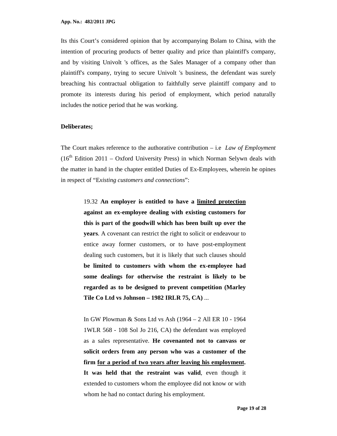Its this Court's considered opinion that by accompanying Bolam to China, with the intention of procuring products of better quality and price than plaintiff's company, and by visiting Univolt 's offices, as the Sales Manager of a company other than plaintiff's company, trying to secure Univolt 's business, the defendant was surely breaching his contractual obligation to faithfully serve plaintiff company and to promote its interests during his period of employment, which period naturally includes the notice period that he was working.

#### **Deliberates;**

The Court makes reference to the authorative contribution – i.e *Law of Employment*  $(16<sup>th</sup> Edition 2011 – Oxford University Press)$  in which Norman Selywn deals with the matter in hand in the chapter entitled Duties of Ex-Employees, wherein he opines in respect of "E*xisting customers and connections*":

> 19.32 **An employer is entitled to have a limited protection against an ex-employee dealing with existing customers for this is part of the goodwill which has been built up over the years**. A covenant can restrict the right to solicit or endeavour to entice away former customers, or to have post-employment dealing such customers, but it is likely that such clauses should **be limited to customers with whom the ex-employee had some dealings for otherwise the restraint is likely to be regarded as to be designed to prevent competition (Marley Tile Co Ltd vs Johnson – 1982 IRLR 75, CA)** ...

> In GW Plowman & Sons Ltd vs Ash (1964 – 2 All ER 10 - 1964 1WLR 568 - 108 Sol Jo 216, CA) the defendant was employed as a sales representative. **He covenanted not to canvass or solicit orders from any person who was a customer of the firm for a period of two years after leaving his employment. It was held that the restraint was valid**, even though it extended to customers whom the employee did not know or with whom he had no contact during his employment.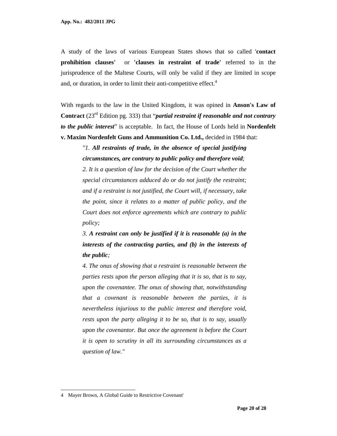A study of the laws of various European States shows that so called '**contact prohibition clauses'** or **'clauses in restraint of trade'** referred to in the jurisprudence of the Maltese Courts, will only be valid if they are limited in scope and, or duration, in order to limit their anti-competitive effect.<sup>4</sup>

With regards to the law in the United Kingdom, it was opined in **Anson's Law of Contract** (23rd Edition pg. 333) that "*partial restraint if reasonable and not contrary to the public interest*" is acceptable. In fact, the House of Lords held in **Nordenfelt v. Maxim Nordenfelt Guns and Ammunition Co. Ltd.,** decided in 1984 that:

*"1. All restraints of trade, in the absence of special justifying circumstances, are contrary to public policy and therefore void;* 

*2. It is a question of law for the decision of the Court whether the special circumstances adduced do or do not justify the restraint; and if a restraint is not justified, the Court will, if necessary, take the point, since it relates to a matter of public policy, and the Court does not enforce agreements which are contrary to public policy;* 

*3. A restraint can only be justified if it is reasonable (a) in the interests of the contracting parties, and (b) in the interests of the public;* 

*4. The onus of showing that a restraint is reasonable between the parties rests upon the person alleging that it is so, that is to say, upon the covenantee. The onus of showing that, notwithstanding that a covenant is reasonable between the parties, it is nevertheless injurious to the public interest and therefore void, rests upon the party alleging it to be so, that is to say, usually upon the covenantor. But once the agreement is before the Court it is open to scrutiny in all its surrounding circumstances as a question of law."* 

1

<sup>4</sup> Mayer Brown, A Global Guide to Restrictive Covenant'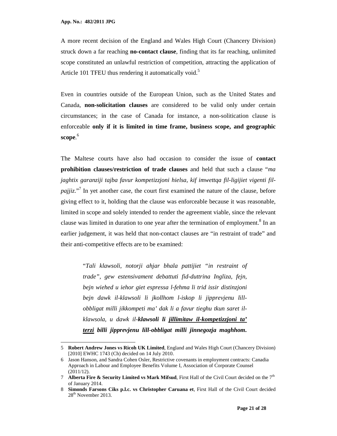<u>.</u>

A more recent decision of the England and Wales High Court (Chancery Division) struck down a far reaching **no-contact clause**, finding that its far reaching, unlimited scope constituted an unlawful restriction of competition, attracting the application of Article 101 TFEU thus rendering it automatically void.<sup>5</sup>

Even in countries outside of the European Union, such as the United States and Canada, **non-solicitation clauses** are considered to be valid only under certain circumstances; in the case of Canada for instance, a non-solitication clause is enforceable **only if it is limited in time frame, business scope, and geographic scope**. 6

The Maltese courts have also had occasion to consider the issue of **contact prohibition clauses/restriction of trade clauses** and held that such a clause "*ma jaghtix garanziji tajba favur kompetizzjoni hielsa, kif imwettqa fil-ligijiet vigenti fil*pajjiz."<sup>7</sup> In yet another case, the court first examined the nature of the clause, before giving effect to it, holding that the clause was enforceable because it was reasonable, limited in scope and solely intended to render the agreement viable, since the relevant clause was limited in duration to one year after the termination of employment.<sup>8</sup> In an earlier judgement, it was held that non-contact clauses are "in restraint of trade" and their anti-competitive effects are to be examined:

> "*Tali klawsoli, notorji ahjar bhala pattijiet "in restraint of trade", gew estensivament debattuti fid-duttrina Ingliza, fejn, bejn wiehed u iehor giet espressa l-fehma li trid issir distinzjoni bejn dawk il-klawsoli li jkollhom l-iskop li jipprevjenu lillobbligat milli jikkompeti ma' dak li a favur tieghu tkun saret ilklawsola, u dawk il-klawsoli li jillimitaw il-kompetizzjoni ta' terzi billi jipprevjenu lill-obbligat milli jinnegozja maghhom.*

<sup>5</sup> **Robert Andrew Jones vs Ricoh UK Limited**, England and Wales High Court (Chancery Division) [2010] EWHC 1743 (Ch) decided on 14 July 2010.

<sup>6</sup> Jason Hanson, and Sandra Cohen Osler, Restrictive covenants in employment contracts: Canadia Approach in Labour and Employee Benefits Volume I, Association of Corporate Counsel (2011/12).

<sup>7</sup> **Alberta Fire & Security Limited vs Mark Mifsud**, First Hall of the Civil Court decided on the 7th of January 2014.

<sup>8</sup> **Simonds Farsons Ciks p.l.c. vs Christopher Caruana et**, First Hall of the Civil Court decided 28<sup>th</sup> November 2013.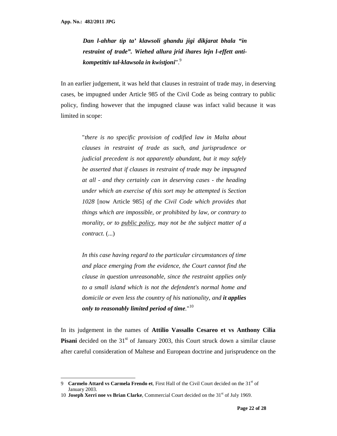<u>.</u>

*Dan l-ahhar tip ta' klawsoli ghandu jigi dikjarat bhala "in restraint of trade". Wiehed allura jrid ihares lejn l-effett antikompetittiv tal-klawsola in kwistjoni*".<sup>9</sup>

In an earlier judgement, it was held that clauses in restraint of trade may, in deserving cases, be impugned under Article 985 of the Civil Code as being contrary to public policy, finding however that the impugned clause was infact valid because it was limited in scope:

"*there is no specific provision of codified law in Malta about clauses in restraint of trade as such, and jurisprudence or judicial precedent is not apparently abundant, but it may safely be asserted that if clauses in restraint of trade may be impugned at all - and they certainly can in deserving cases - the heading under which an exercise of this sort may be attempted is Section 1028* [now Article 985] *of the Civil Code which provides that things which are impossible, or prohibited by law, or contrary to morality, or to public policy, may not be the subject matter of a contract*. (...)

*In this case having regard to the particular circumstances of time and place emerging from the evidence, the Court cannot find the clause in question unreasonable, since the restraint applies only to a small island which is not the defendent's normal home and domicile or even less the country of his nationality, and it applies only to reasonably limited period of time.*" 10

In its judgement in the names of **Attilio Vassallo Cesareo et vs Anthony Cilia Pisani** decided on the 31<sup>st</sup> of January 2003, this Court struck down a similar clause after careful consideration of Maltese and European doctrine and jurisprudence on the

<sup>9</sup> **Carmelo Attard vs Carmela Frendo et**, First Hall of the Civil Court decided on the 31<sup>st</sup> of January 2003.

<sup>10</sup> **Joseph Xerri noe vs Brian Clarke**, Commercial Court decided on the 31st of July 1969.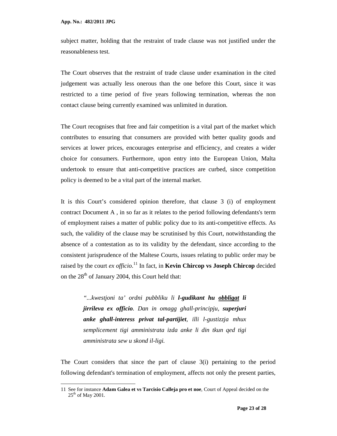<u>.</u>

subject matter, holding that the restraint of trade clause was not justified under the reasonableness test.

The Court observes that the restraint of trade clause under examination in the cited judgement was actually less onerous than the one before this Court, since it was restricted to a time period of five years following termination, whereas the non contact clause being currently examined was unlimited in duration.

The Court recognises that free and fair competition is a vital part of the market which contributes to ensuring that consumers are provided with better quality goods and services at lower prices, encourages enterprise and efficiency, and creates a wider choice for consumers. Furthermore, upon entry into the European Union, Malta undertook to ensure that anti-competitive practices are curbed, since competition policy is deemed to be a vital part of the internal market.

It is this Court's considered opinion therefore, that clause 3 (i) of employment contract Document A , in so far as it relates to the period following defendants's term of employment raises a matter of public policy due to its anti-competitive effects. As such, the validity of the clause may be scrutinised by this Court, notwithstanding the absence of a contestation as to its validity by the defendant, since according to the consistent jurisprudence of the Maltese Courts, issues relating to public order may be raised by the court *ex officio*. <sup>11</sup> In fact, in **Kevin Chircop vs Joseph Chircop** decided on the  $28<sup>th</sup>$  of January 2004, this Court held that:

*"...kwestjoni ta' ordni pubbliku li l-gudikant hu obbligat li jirrileva ex officio. Dan in omagg ghall-principju, superjuri anke ghall-interess privat tal-partijiet, illi l-gustizzja mhux semplicement tigi amministrata izda anke li din tkun qed tigi amministrata sew u skond il-ligi.* 

The Court considers that since the part of clause 3(i) pertaining to the period following defendant's termination of employment, affects not only the present parties,

<sup>11</sup> See for instance **Adam Galea et vs Tarcisio Calleja pro et noe**, Court of Appeal decided on the  $25<sup>th</sup>$  of May 2001.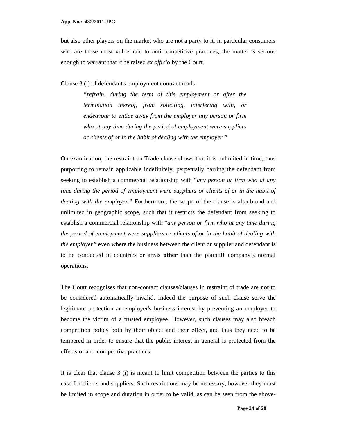but also other players on the market who are not a party to it, in particular consumers who are those most vulnerable to anti-competitive practices, the matter is serious enough to warrant that it be raised *ex officio* by the Court.

Clause 3 (i) of defendant's employment contract reads:

*"refrain, during the term of this employment or after the termination thereof, from soliciting, interfering with, or endeavour to entice away from the employer any person or firm who at any time during the period of employment were suppliers or clients of or in the habit of dealing with the employer."*

On examination, the restraint on Trade clause shows that it is unlimited in time, thus purporting to remain applicable indefinitely, perpetually barring the defendant from seeking to establish a commercial relationship with "*any person or firm who at any time during the period of employment were suppliers or clients of or in the habit of dealing with the employer.*" Furthermore, the scope of the clause is also broad and unlimited in geographic scope, such that it restricts the defendant from seeking to establish a commercial relationship with "*any person or firm who at any time during the period of employment were suppliers or clients of or in the habit of dealing with the employer*" even where the business between the client or supplier and defendant is to be conducted in countries or areas **other** than the plaintiff company's normal operations.

The Court recognises that non-contact clauses/clauses in restraint of trade are not to be considered automatically invalid. Indeed the purpose of such clause serve the legitimate protection an employer's business interest by preventing an employer to become the victim of a trusted employee. However, such clauses may also breach competition policy both by their object and their effect, and thus they need to be tempered in order to ensure that the public interest in general is protected from the effects of anti-competitive practices.

It is clear that clause 3 (i) is meant to limit competition between the parties to this case for clients and suppliers. Such restrictions may be necessary, however they must be limited in scope and duration in order to be valid, as can be seen from the above-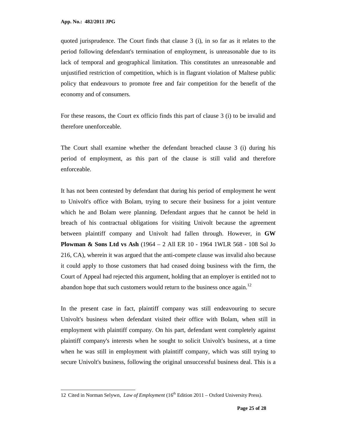1

quoted jurisprudence. The Court finds that clause 3 (i), in so far as it relates to the period following defendant's termination of employment, is unreasonable due to its lack of temporal and geographical limitation. This constitutes an unreasonable and unjustified restriction of competition, which is in flagrant violation of Maltese public policy that endeavours to promote free and fair competition for the benefit of the economy and of consumers.

For these reasons, the Court ex officio finds this part of clause 3 (i) to be invalid and therefore unenforceable.

The Court shall examine whether the defendant breached clause 3 (i) during his period of employment, as this part of the clause is still valid and therefore enforceable.

It has not been contested by defendant that during his period of employment he went to Univolt's office with Bolam, trying to secure their business for a joint venture which he and Bolam were planning. Defendant argues that he cannot be held in breach of his contractual obligations for visiting Univolt because the agreement between plaintiff company and Univolt had fallen through. However, in **GW Plowman & Sons Ltd vs Ash** (1964 – 2 All ER 10 - 1964 1WLR 568 - 108 Sol Jo 216, CA), wherein it was argued that the anti-compete clause was invalid also because it could apply to those customers that had ceased doing business with the firm, the Court of Appeal had rejected this argument, holding that an employer is entitled not to abandon hope that such customers would return to the business once again.<sup>12</sup>

In the present case in fact, plaintiff company was still endeavouring to secure Univolt's business when defendant visited their office with Bolam, when still in employment with plaintiff company. On his part, defendant went completely against plaintiff company's interests when he sought to solicit Univolt's business, at a time when he was still in employment with plaintiff company, which was still trying to secure Univolt's business, following the original unsuccessful business deal. This is a

<sup>12</sup> Cited in Norman Selywn, *Law of Employment* (16th Edition 2011 – Oxford University Press).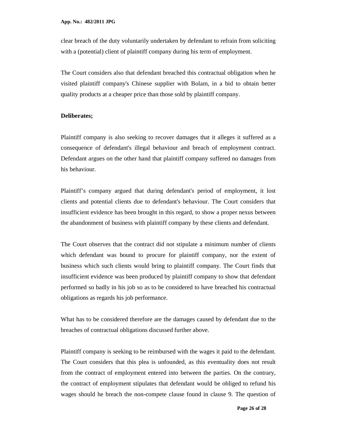clear breach of the duty voluntarily undertaken by defendant to refrain from soliciting with a (potential) client of plaintiff company during his term of employment.

The Court considers also that defendant breached this contractual obligation when he visited plaintiff company's Chinese supplier with Bolam, in a bid to obtain better quality products at a cheaper price than those sold by plaintiff company.

#### **Deliberates;**

Plaintiff company is also seeking to recover damages that it alleges it suffered as a consequence of defendant's illegal behaviour and breach of employment contract. Defendant argues on the other hand that plaintiff company suffered no damages from his behaviour.

Plaintiff's company argued that during defendant's period of employment, it lost clients and potential clients due to defendant's behaviour. The Court considers that insufficient evidence has been brought in this regard, to show a proper nexus between the abandonment of business with plaintiff company by these clients and defendant.

The Court observes that the contract did not stipulate a minimum number of clients which defendant was bound to procure for plaintiff company, nor the extent of business which such clients would bring to plaintiff company. The Court finds that insufficient evidence was been produced by plaintiff company to show that defendant performed so badly in his job so as to be considered to have breached his contractual obligations as regards his job performance.

What has to be considered therefore are the damages caused by defendant due to the breaches of contractual obligations discussed further above.

Plaintiff company is seeking to be reimbursed with the wages it paid to the defendant. The Court considers that this plea is unfounded, as this eventuality does not result from the contract of employment entered into between the parties. On the contrary, the contract of employment stipulates that defendant would be obliged to refund his wages should he breach the non-compete clause found in clause 9. The question of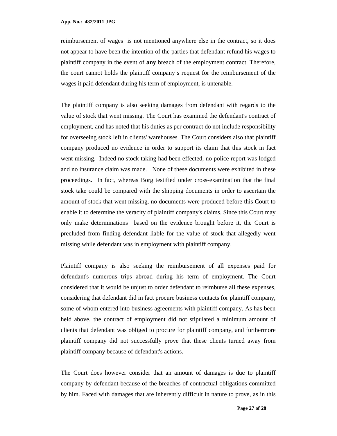reimbursement of wages is not mentioned anywhere else in the contract, so it does not appear to have been the intention of the parties that defendant refund his wages to plaintiff company in the event of **any** breach of the employment contract. Therefore, the court cannot holds the plaintiff company's request for the reimbursement of the wages it paid defendant during his term of employment, is untenable.

The plaintiff company is also seeking damages from defendant with regards to the value of stock that went missing. The Court has examined the defendant's contract of employment, and has noted that his duties as per contract do not include responsibility for overseeing stock left in clients' warehouses. The Court considers also that plaintiff company produced no evidence in order to support its claim that this stock in fact went missing. Indeed no stock taking had been effected, no police report was lodged and no insurance claim was made. None of these documents were exhibited in these proceedings. In fact, whereas Borg testified under cross-examination that the final stock take could be compared with the shipping documents in order to ascertain the amount of stock that went missing, no documents were produced before this Court to enable it to determine the veracity of plaintiff company's claims. Since this Court may only make determinations based on the evidence brought before it, the Court is precluded from finding defendant liable for the value of stock that allegedly went missing while defendant was in employment with plaintiff company.

Plaintiff company is also seeking the reimbursement of all expenses paid for defendant's numerous trips abroad during his term of employment. The Court considered that it would be unjust to order defendant to reimburse all these expenses, considering that defendant did in fact procure business contacts for plaintiff company, some of whom entered into business agreements with plaintiff company. As has been held above, the contract of employment did not stipulated a minimum amount of clients that defendant was obliged to procure for plaintiff company, and furthermore plaintiff company did not successfully prove that these clients turned away from plaintiff company because of defendant's actions.

The Court does however consider that an amount of damages is due to plaintiff company by defendant because of the breaches of contractual obligations committed by him. Faced with damages that are inherently difficult in nature to prove, as in this